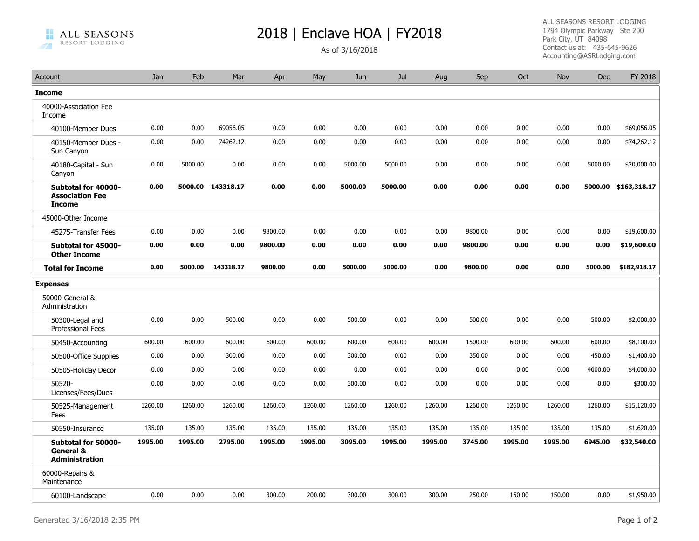**ALL SEASONS** RESORT LODGING

## 2018 | Enclave HOA | FY2018

ALL SEASONS RESORT LODGING 1794 Olympic Parkway Ste 200 Park City, UT 84098 Contact us at: 435-645-9626 Accounting@ASRLodging.com

| Account                                                              | Jan     | Feb     | Mar               | Apr     | May     | Jun     | Jul     | Aug     | Sep     | Oct     | Nov     | <b>Dec</b> | FY 2018      |
|----------------------------------------------------------------------|---------|---------|-------------------|---------|---------|---------|---------|---------|---------|---------|---------|------------|--------------|
| <b>Income</b>                                                        |         |         |                   |         |         |         |         |         |         |         |         |            |              |
| 40000-Association Fee<br>Income                                      |         |         |                   |         |         |         |         |         |         |         |         |            |              |
| 40100-Member Dues                                                    | 0.00    | 0.00    | 69056.05          | 0.00    | 0.00    | 0.00    | 0.00    | 0.00    | 0.00    | 0.00    | 0.00    | 0.00       | \$69,056.05  |
| 40150-Member Dues -<br>Sun Canyon                                    | 0.00    | 0.00    | 74262.12          | 0.00    | 0.00    | 0.00    | 0.00    | 0.00    | 0.00    | 0.00    | 0.00    | 0.00       | \$74,262.12  |
| 40180-Capital - Sun<br>Canyon                                        | 0.00    | 5000.00 | 0.00              | 0.00    | 0.00    | 5000.00 | 5000.00 | 0.00    | 0.00    | 0.00    | 0.00    | 5000.00    | \$20,000.00  |
| Subtotal for 40000-<br><b>Association Fee</b><br><b>Income</b>       | 0.00    |         | 5000.00 143318.17 | 0.00    | 0.00    | 5000.00 | 5000.00 | 0.00    | 0.00    | 0.00    | 0.00    | 5000.00    | \$163,318.17 |
| 45000-Other Income                                                   |         |         |                   |         |         |         |         |         |         |         |         |            |              |
| 45275-Transfer Fees                                                  | 0.00    | 0.00    | 0.00              | 9800.00 | 0.00    | 0.00    | 0.00    | 0.00    | 9800.00 | 0.00    | 0.00    | 0.00       | \$19,600.00  |
| Subtotal for 45000-<br><b>Other Income</b>                           | 0.00    | 0.00    | 0.00              | 9800.00 | 0.00    | 0.00    | 0.00    | 0.00    | 9800.00 | 0.00    | 0.00    | 0.00       | \$19,600.00  |
| <b>Total for Income</b>                                              | 0.00    | 5000.00 | 143318.17         | 9800.00 | 0.00    | 5000.00 | 5000.00 | 0.00    | 9800.00 | 0.00    | 0.00    | 5000.00    | \$182,918.17 |
| <b>Expenses</b>                                                      |         |         |                   |         |         |         |         |         |         |         |         |            |              |
| 50000-General &<br>Administration                                    |         |         |                   |         |         |         |         |         |         |         |         |            |              |
| 50300-Legal and<br>Professional Fees                                 | 0.00    | 0.00    | 500.00            | 0.00    | 0.00    | 500.00  | 0.00    | 0.00    | 500.00  | 0.00    | 0.00    | 500.00     | \$2,000.00   |
| 50450-Accounting                                                     | 600.00  | 600.00  | 600.00            | 600.00  | 600.00  | 600.00  | 600.00  | 600.00  | 1500.00 | 600.00  | 600.00  | 600.00     | \$8,100.00   |
| 50500-Office Supplies                                                | 0.00    | 0.00    | 300.00            | 0.00    | 0.00    | 300.00  | 0.00    | 0.00    | 350.00  | 0.00    | 0.00    | 450.00     | \$1,400.00   |
| 50505-Holiday Decor                                                  | 0.00    | 0.00    | 0.00              | 0.00    | 0.00    | 0.00    | 0.00    | 0.00    | 0.00    | 0.00    | 0.00    | 4000.00    | \$4,000.00   |
| 50520-<br>Licenses/Fees/Dues                                         | 0.00    | 0.00    | 0.00              | 0.00    | 0.00    | 300.00  | 0.00    | 0.00    | 0.00    | 0.00    | 0.00    | 0.00       | \$300.00     |
| 50525-Management<br>Fees                                             | 1260.00 | 1260.00 | 1260.00           | 1260.00 | 1260.00 | 1260.00 | 1260.00 | 1260.00 | 1260.00 | 1260.00 | 1260.00 | 1260.00    | \$15,120.00  |
| 50550-Insurance                                                      | 135.00  | 135.00  | 135.00            | 135.00  | 135.00  | 135.00  | 135.00  | 135.00  | 135.00  | 135.00  | 135.00  | 135.00     | \$1,620.00   |
| Subtotal for 50000-<br><b>General &amp;</b><br><b>Administration</b> | 1995.00 | 1995.00 | 2795.00           | 1995.00 | 1995.00 | 3095.00 | 1995.00 | 1995.00 | 3745.00 | 1995.00 | 1995.00 | 6945.00    | \$32,540.00  |
| 60000-Repairs &<br>Maintenance                                       |         |         |                   |         |         |         |         |         |         |         |         |            |              |
| 60100-Landscape                                                      | 0.00    | 0.00    | 0.00              | 300.00  | 200.00  | 300.00  | 300.00  | 300.00  | 250.00  | 150.00  | 150.00  | 0.00       | \$1,950.00   |